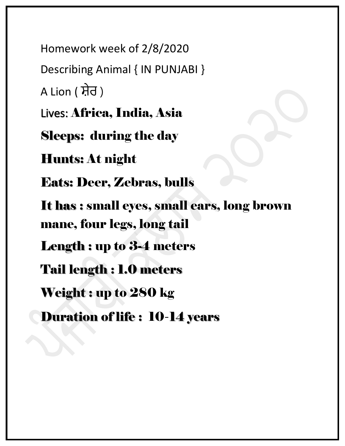Homework week of 2/8/2020 Describing Animal { IN PUNJABI } A Lion ( ਸ਼ੇਰ ) Lives: Africa, India, Asia Sleeps: during the day Hunts: At night Eats: Deer, Zebras, bulls It has : small eyes, small ears, long brown mane, four legs, long tail Length : up to 3-4 meters Tail length : 1.0 meters Weight : up to 280 kg Duration of life : 10-14 years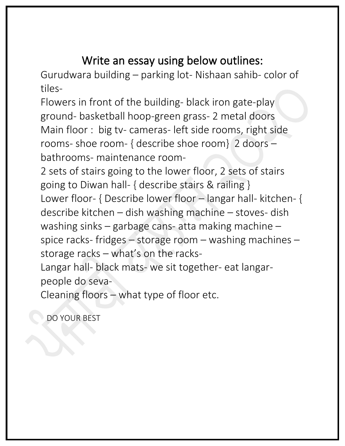## Write an essay using below outlines:

Gurudwara building – parking lot- Nishaan sahib- color of tiles-

Flowers in front of the building- black iron gate-play ground- basketball hoop-green grass- 2 metal doors Main floor : big tv- cameras- left side rooms, right side rooms- shoe room- { describe shoe room} 2 doors – bathrooms- maintenance room-

2 sets of stairs going to the lower floor, 2 sets of stairs going to Diwan hall- { describe stairs & railing } Lower floor- { Describe lower floor – langar hall- kitchen- { describe kitchen – dish washing machine – stoves- dish washing sinks – garbage cans- atta making machine – spice racks- fridges – storage room – washing machines – storage racks – what's on the racks-

Langar hall- black mats- we sit together- eat langarpeople do seva-

Cleaning floors – what type of floor etc.

DO YOUR BEST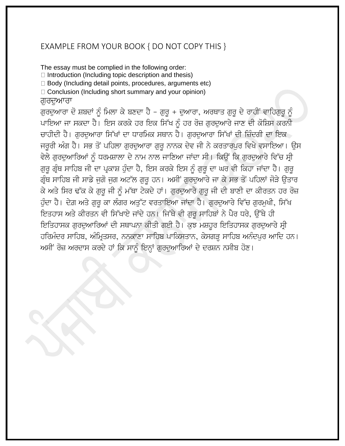## EXAMPLE FROM YOUR BOOK { DO NOT COPY THIS }

The essay must be complied in the following order:  $\Box$  Introduction (Including topic description and thesis)  $\Box$  Body (Including detail points, procedures, arguments etc)  $\Box$  Conclusion (Including short summary and your opinion) ਗਰਦਆਰਾ ਗੁਰਦੁਆਰਾ ਦੋ ਸ਼ਬਦਾਂ ਨੂੰ ਮਿਲਾ ਕੇ ਬਣਦਾ ਹੈ - ਗੁਰੂ + ਦੁਆਰਾ, ਅਰਥਾਤ ਗੁਰੂ ਦੇ ਰਾਹੀਂ ਵਾਹਿਗੁਰੂ ਨੂੰ ਪਾਇਆ ਜਾ ਸਕਦਾ ਹੈ। ਇਸ ਕਰਕੇ ਹਰ ਇਕ ਸਿੱਖ ਨੂੰ ਹਰ ਰੋਜ਼ ਗੁਰਦੁਆਰੇ ਜਾਣ ਦੀ ਕੋਸ਼ਿਸ ਕਰਨੀ

ਚਾਹੀਦੀ ਹੈ। ਗਰਦਆਰਾ ਸਿੱਖਾਂ ਦਾ ਧਾਰਮਿਕ ਸਥਾਨ ਹੈ। ਗਰਦਆਰਾ ਸਿੱਖਾਂ ਦੀ ਜ਼ਿੰਦਗੀ ਦਾ ਇਕ ਜਰਰੀ ਅੰਗ ਹੈ। ਸਭ ਤੋਂ ਪਹਿਲਾ ਗਰਦਆਰਾ ਗਰ ਨਾਨਕ ਦੇਵ ਜੀ ਨੇ ਕਰਤਾਰਪਰ ਵਿਖੇ ਵਸਾਇਆ। ਉਸ ਵੇਲੇ ਗੁਰਦੁਆਰਿਆਂ ਨੂੰ ਧਰਮਸ਼ਾਲਾ ਦੇ ਨਾਮ ਨਾਲ ਜਾਣਿਆ ਜਾਂਦਾ ਸੀ। ਕਿਉਂ ਕਿ ਗੁਰਦੁਆਰੇ ਵਿੱਚ ਸ੍ਰੀ ਗੁਰੂ ਗ੍ਰੰਥ ਸਾਹਿਬ ਜੀ ਦਾ ਪ੍ਰਕਾਸ਼ ਹੁੰਦਾ ਹੈ, ਇਸ ਕਰਕੇ ਇਸ ਨੂੰ ਗੁਰੂ ਦਾ ਘਰ ਵੀ ਕਿਹਾ ਜਾਂਦਾ ਹੈ। ਗੁਰੂ ਗ੍ਰੰਥ ਸਾਹਿਬ ਜੀ ਸਾਡੇ ਜੁਗੋ ਜੁਗ ਅਟੱਲ ਗੁਰੂ ਹਨ। ਅਸੀਂ ਗੁਰਦੁਆਰੇ ਜਾ ਕੇ ਸਭ ਤੋਂ ਪਹਿਲਾਂ ਜੋੜੇ ਉਤਾਰ ਕੇ ਅਤੇ ਸਿਰ ਢੱਕ ਕੇ ਗੁਰੂ ਜੀ ਨੂੰ ਮੱਥਾ ਟੇਕਦੇ ਹਾਂ। ਗੁਰਦੁਆਰੇ ਗੁਰੂ ਜੀ ਦੀ ਬਾਣੀ ਦਾ ਕੀਰਤਨ ਹਰ ਰੋਜ਼ ਹੁੰਦਾ ਹੈ। ਦੇਗ਼ ਅਤੇ ਗੁਰੂ ਕਾ ਲੰਗਰ ਅਤੁੱਟ ਵਰਤਾਇਆ ਜਾਂਦਾ ਹੈ। ਗੁਰਦੁਆਰੇ ਵਿੱਚ ਗੁਰਮੁਖੀ, ਸਿੱਖ ਇਤਹਾਸ ਅਤੇ ਕੀਰਤਨ ਵੀ ਸਿੱਖਾਏ ਜਾਂਦੇ ਹਨ। ਜਿੱਥੇ ਵੀ ਗੁਰੂ ਸਾਹਿਬਾਂ ਨੇ ਪੈਰ ਧਰੇ, ਉੱਥੇ ਹੀ ਇਤਿਹਾਸਕ ਗੁਰਦੁਆਰਿਆਂ ਦੀ ਸਥਾਪਨਾ ਕੀਤੀ ਗਈ ਹੈ। ਕੁਝ ਮਸ਼ਹੂਰ ਇਤਿਹਾਸਕ ਗੁਰਦੁਆਰੇ ਸ੍ਰੀ ਹਰਿਮੰਦਰ ਸਾਹਿਬ, ਅੰਮ੍ਰਿਤਸਰ, ਨਨਕਾਣਾ ਸਾਹਿਬ ਪਾਕਿਸਤਾਨ, ਕੇਸਗੜ੍ਹ ਸਾਹਿਬ ਅਨੰਦਪਰ ਆਦਿ ਹਨ। ਅਸੀਂ ਰੋਜ਼ ਅਰਦਾਸ ਕਰਦੇ ਹਾਂ ਕਿ ਸਾਨੂੰ ਇਨ੍ਹਾਂ ਗੁਰਦੁਆਰਿਆਂ ਦੇ ਦਰਸ਼ਨ ਨਸੀਬ ਹੋਣ।